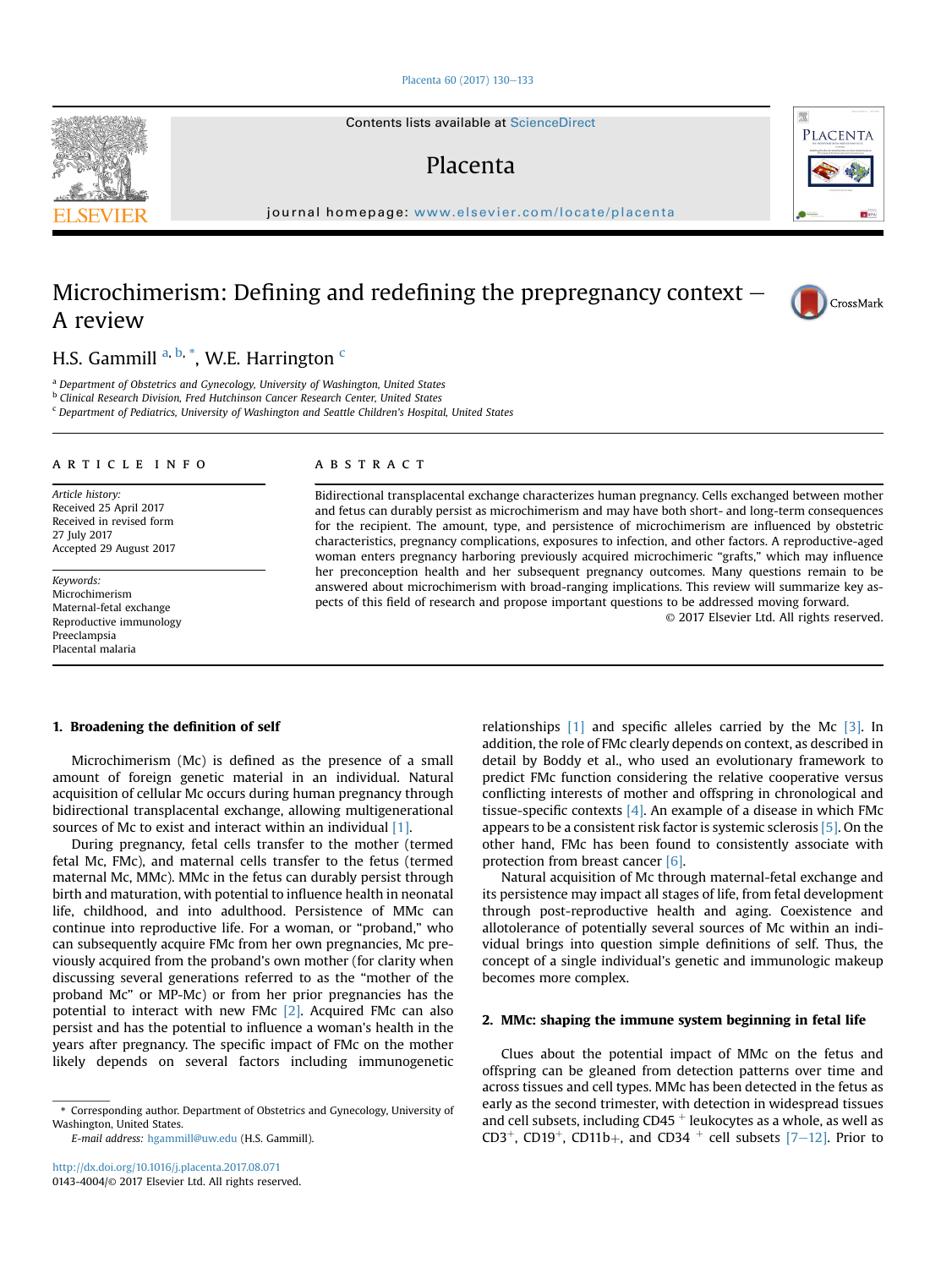## [Placenta 60 \(2017\) 130](http://dx.doi.org/10.1016/j.placenta.2017.08.071)-[133](http://dx.doi.org/10.1016/j.placenta.2017.08.071)

Contents lists available at ScienceDirect

# Placenta

journal homepage: [www.elsevier.com/locate/placenta](http://www.elsevier.com/locate/placenta)

# Microchimerism: Defining and redefining the prepregnancy context  $-$ A review

H.S. Gammill <sup>a, b, \*</sup>, W.E. Harrington <sup>c</sup>

<sup>a</sup> Department of Obstetrics and Gynecology, University of Washington, United States

**b Clinical Research Division, Fred Hutchinson Cancer Research Center, United States** 

<sup>c</sup> Department of Pediatrics, University of Washington and Seattle Children's Hospital, United States

### article info

Article history: Received 25 April 2017 Received in revised form 27 July 2017 Accepted 29 August 2017

Keywords: Microchimerism Maternal-fetal exchange Reproductive immunology Preeclampsia Placental malaria

#### **ABSTRACT**

Bidirectional transplacental exchange characterizes human pregnancy. Cells exchanged between mother and fetus can durably persist as microchimerism and may have both short- and long-term consequences for the recipient. The amount, type, and persistence of microchimerism are influenced by obstetric characteristics, pregnancy complications, exposures to infection, and other factors. A reproductive-aged woman enters pregnancy harboring previously acquired microchimeric "grafts," which may influence her preconception health and her subsequent pregnancy outcomes. Many questions remain to be answered about microchimerism with broad-ranging implications. This review will summarize key aspects of this field of research and propose important questions to be addressed moving forward.

© 2017 Elsevier Ltd. All rights reserved.

# 1. Broadening the definition of self

Microchimerism (Mc) is defined as the presence of a small amount of foreign genetic material in an individual. Natural acquisition of cellular Mc occurs during human pregnancy through bidirectional transplacental exchange, allowing multigenerational sources of Mc to exist and interact within an individual [\[1\]](#page-2-0).

During pregnancy, fetal cells transfer to the mother (termed fetal Mc, FMc), and maternal cells transfer to the fetus (termed maternal Mc, MMc). MMc in the fetus can durably persist through birth and maturation, with potential to influence health in neonatal life, childhood, and into adulthood. Persistence of MMc can continue into reproductive life. For a woman, or "proband," who can subsequently acquire FMc from her own pregnancies, Mc previously acquired from the proband's own mother (for clarity when discussing several generations referred to as the "mother of the proband Mc" or MP-Mc) or from her prior pregnancies has the potential to interact with new FMc  $[2]$ . Acquired FMc can also persist and has the potential to influence a woman's health in the years after pregnancy. The specific impact of FMc on the mother likely depends on several factors including immunogenetic

E-mail address: [hgammill@uw.edu](mailto:hgammill@uw.edu) (H.S. Gammill).

relationships [\[1\]](#page-2-0) and specific alleles carried by the Mc [\[3\].](#page-2-0) In addition, the role of FMc clearly depends on context, as described in detail by Boddy et al., who used an evolutionary framework to predict FMc function considering the relative cooperative versus conflicting interests of mother and offspring in chronological and tissue-specific contexts  $[4]$ . An example of a disease in which FMc appears to be a consistent risk factor is systemic sclerosis [\[5\]](#page-2-0). On the other hand, FMc has been found to consistently associate with protection from breast cancer [\[6\]](#page-2-0).

Natural acquisition of Mc through maternal-fetal exchange and its persistence may impact all stages of life, from fetal development through post-reproductive health and aging. Coexistence and allotolerance of potentially several sources of Mc within an individual brings into question simple definitions of self. Thus, the concept of a single individual's genetic and immunologic makeup becomes more complex.

# 2. MMc: shaping the immune system beginning in fetal life

Clues about the potential impact of MMc on the fetus and offspring can be gleaned from detection patterns over time and across tissues and cell types. MMc has been detected in the fetus as early as the second trimester, with detection in widespread tissues and cell subsets, including  $CD45$  <sup>+</sup> leukocytes as a whole, as well as CD3<sup>+</sup>, CD19<sup>+</sup>, CD11b<sub>+</sub>, and CD34 <sup>+</sup> cell subsets  $[7-12]$  $[7-12]$ . Prior to





CrossMark

<sup>\*</sup> Corresponding author. Department of Obstetrics and Gynecology, University of Washington, United States.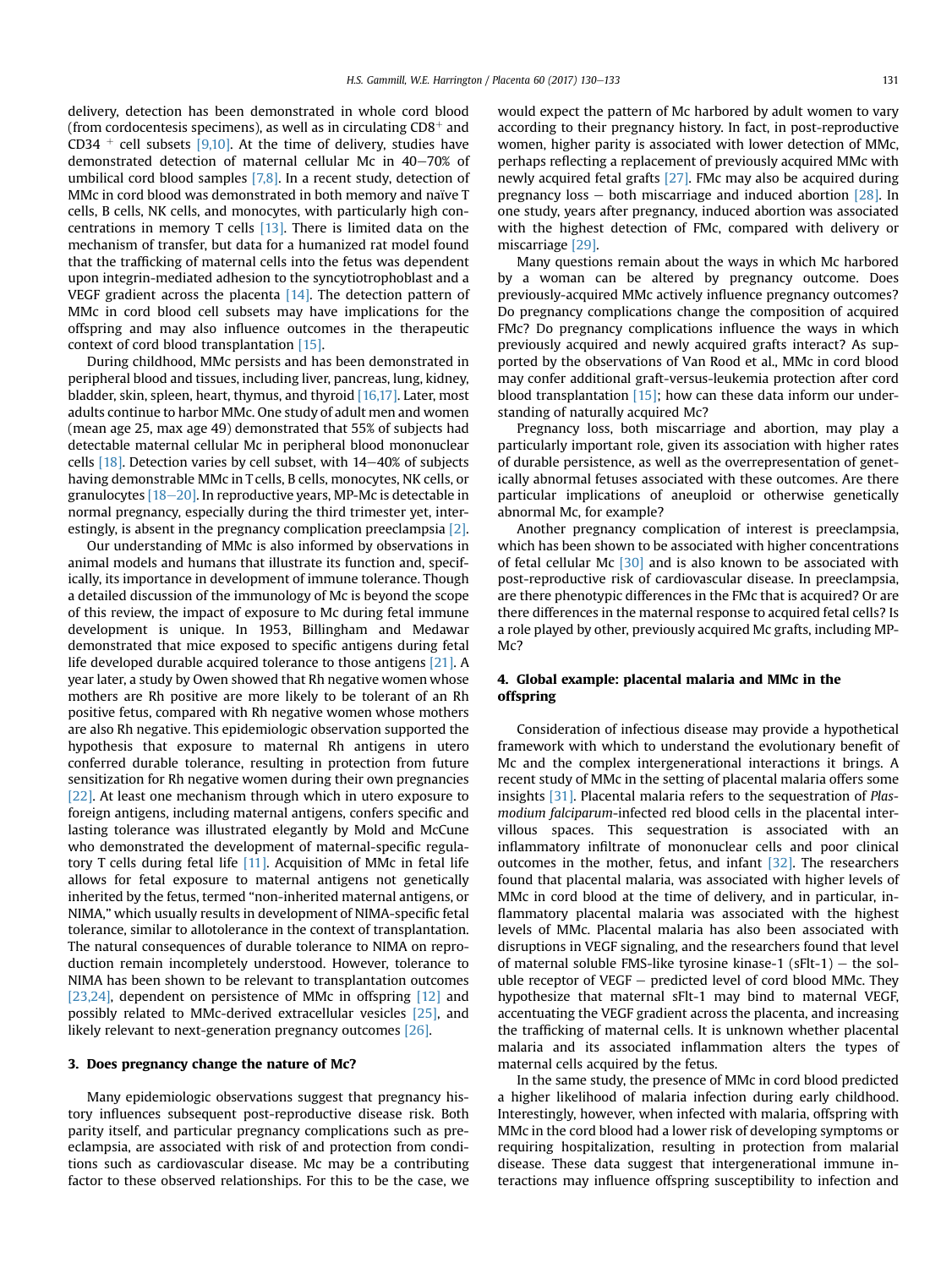delivery, detection has been demonstrated in whole cord blood (from cordocentesis specimens), as well as in circulating  $CD8^+$  and CD34 <sup>+</sup> cell subsets [\[9,10\]](#page-2-0). At the time of delivery, studies have demonstrated detection of maternal cellular Mc in  $40-70\%$  of umbilical cord blood samples [\[7,8\]](#page-2-0). In a recent study, detection of MMc in cord blood was demonstrated in both memory and naïve T cells, B cells, NK cells, and monocytes, with particularly high concentrations in memory T cells [\[13\].](#page-2-0) There is limited data on the mechanism of transfer, but data for a humanized rat model found that the trafficking of maternal cells into the fetus was dependent upon integrin-mediated adhesion to the syncytiotrophoblast and a VEGF gradient across the placenta [\[14\].](#page-2-0) The detection pattern of MMc in cord blood cell subsets may have implications for the offspring and may also influence outcomes in the therapeutic context of cord blood transplantation [\[15\]](#page-2-0).

During childhood, MMc persists and has been demonstrated in peripheral blood and tissues, including liver, pancreas, lung, kidney, bladder, skin, spleen, heart, thymus, and thyroid [\[16,17\].](#page-2-0) Later, most adults continue to harbor MMc. One study of adult men and women (mean age 25, max age 49) demonstrated that 55% of subjects had detectable maternal cellular Mc in peripheral blood mononuclear cells  $[18]$ . Detection varies by cell subset, with  $14-40\%$  of subjects having demonstrable MMc in T cells, B cells, monocytes, NK cells, or granulocytes  $[18-20]$  $[18-20]$ . In reproductive years, MP-Mc is detectable in normal pregnancy, especially during the third trimester yet, interestingly, is absent in the pregnancy complication preeclampsia [\[2\].](#page-2-0)

Our understanding of MMc is also informed by observations in animal models and humans that illustrate its function and, specifically, its importance in development of immune tolerance. Though a detailed discussion of the immunology of Mc is beyond the scope of this review, the impact of exposure to Mc during fetal immune development is unique. In 1953, Billingham and Medawar demonstrated that mice exposed to specific antigens during fetal life developed durable acquired tolerance to those antigens [\[21\].](#page-2-0) A year later, a study by Owen showed that Rh negative women whose mothers are Rh positive are more likely to be tolerant of an Rh positive fetus, compared with Rh negative women whose mothers are also Rh negative. This epidemiologic observation supported the hypothesis that exposure to maternal Rh antigens in utero conferred durable tolerance, resulting in protection from future sensitization for Rh negative women during their own pregnancies [\[22\].](#page-2-0) At least one mechanism through which in utero exposure to foreign antigens, including maternal antigens, confers specific and lasting tolerance was illustrated elegantly by Mold and McCune who demonstrated the development of maternal-specific regulatory T cells during fetal life [\[11\].](#page-2-0) Acquisition of MMc in fetal life allows for fetal exposure to maternal antigens not genetically inherited by the fetus, termed "non-inherited maternal antigens, or NIMA," which usually results in development of NIMA-specific fetal tolerance, similar to allotolerance in the context of transplantation. The natural consequences of durable tolerance to NIMA on reproduction remain incompletely understood. However, tolerance to NIMA has been shown to be relevant to transplantation outcomes [\[23,24\]](#page-2-0), dependent on persistence of MMc in offspring [\[12\]](#page-2-0) and possibly related to MMc-derived extracellular vesicles [\[25\],](#page-2-0) and likely relevant to next-generation pregnancy outcomes [\[26\]](#page-2-0).

#### 3. Does pregnancy change the nature of Mc?

Many epidemiologic observations suggest that pregnancy history influences subsequent post-reproductive disease risk. Both parity itself, and particular pregnancy complications such as preeclampsia, are associated with risk of and protection from conditions such as cardiovascular disease. Mc may be a contributing factor to these observed relationships. For this to be the case, we would expect the pattern of Mc harbored by adult women to vary according to their pregnancy history. In fact, in post-reproductive women, higher parity is associated with lower detection of MMc, perhaps reflecting a replacement of previously acquired MMc with newly acquired fetal grafts [\[27\].](#page-2-0) FMc may also be acquired during pregnancy loss  $-$  both miscarriage and induced abortion  $[28]$ . In one study, years after pregnancy, induced abortion was associated with the highest detection of FMc, compared with delivery or miscarriage [\[29\]](#page-2-0).

Many questions remain about the ways in which Mc harbored by a woman can be altered by pregnancy outcome. Does previously-acquired MMc actively influence pregnancy outcomes? Do pregnancy complications change the composition of acquired FMc? Do pregnancy complications influence the ways in which previously acquired and newly acquired grafts interact? As supported by the observations of Van Rood et al., MMc in cord blood may confer additional graft-versus-leukemia protection after cord blood transplantation  $[15]$ ; how can these data inform our understanding of naturally acquired Mc?

Pregnancy loss, both miscarriage and abortion, may play a particularly important role, given its association with higher rates of durable persistence, as well as the overrepresentation of genetically abnormal fetuses associated with these outcomes. Are there particular implications of aneuploid or otherwise genetically abnormal Mc, for example?

Another pregnancy complication of interest is preeclampsia, which has been shown to be associated with higher concentrations of fetal cellular Mc  $[30]$  and is also known to be associated with post-reproductive risk of cardiovascular disease. In preeclampsia, are there phenotypic differences in the FMc that is acquired? Or are there differences in the maternal response to acquired fetal cells? Is a role played by other, previously acquired Mc grafts, including MP-M<sub>c</sub>?

# 4. Global example: placental malaria and MMc in the offspring

Consideration of infectious disease may provide a hypothetical framework with which to understand the evolutionary benefit of Mc and the complex intergenerational interactions it brings. A recent study of MMc in the setting of placental malaria offers some insights [\[31\].](#page-3-0) Placental malaria refers to the sequestration of Plasmodium falciparum-infected red blood cells in the placental intervillous spaces. This sequestration is associated with an inflammatory infiltrate of mononuclear cells and poor clinical outcomes in the mother, fetus, and infant [\[32\]](#page-3-0). The researchers found that placental malaria, was associated with higher levels of MMc in cord blood at the time of delivery, and in particular, inflammatory placental malaria was associated with the highest levels of MMc. Placental malaria has also been associated with disruptions in VEGF signaling, and the researchers found that level of maternal soluble FMS-like tyrosine kinase-1 (sFlt-1) – the soluble receptor of VEGF  $-$  predicted level of cord blood MMc. They hypothesize that maternal sFlt-1 may bind to maternal VEGF, accentuating the VEGF gradient across the placenta, and increasing the trafficking of maternal cells. It is unknown whether placental malaria and its associated inflammation alters the types of maternal cells acquired by the fetus.

In the same study, the presence of MMc in cord blood predicted a higher likelihood of malaria infection during early childhood. Interestingly, however, when infected with malaria, offspring with MMc in the cord blood had a lower risk of developing symptoms or requiring hospitalization, resulting in protection from malarial disease. These data suggest that intergenerational immune interactions may influence offspring susceptibility to infection and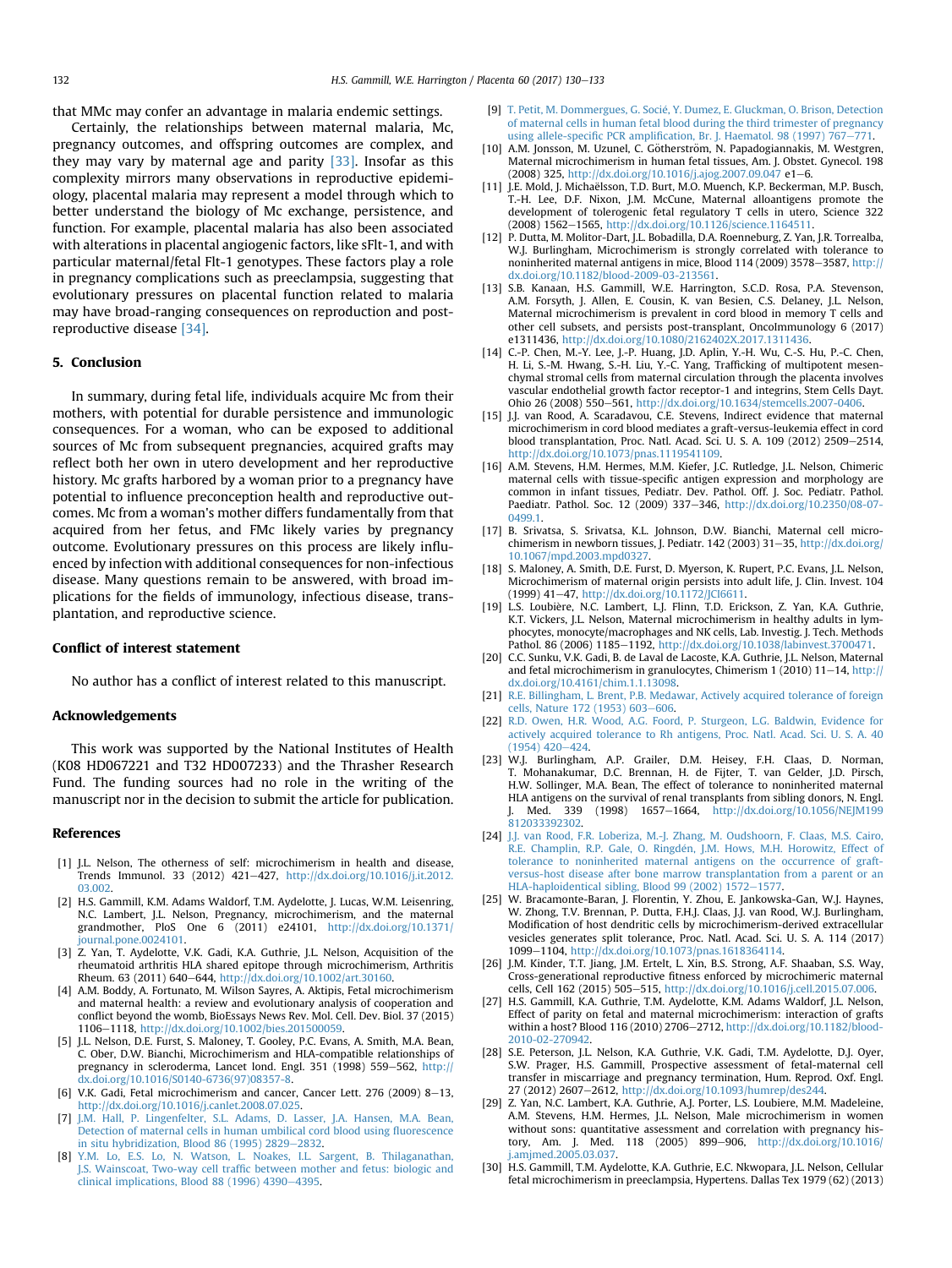<span id="page-2-0"></span>that MMc may confer an advantage in malaria endemic settings.

Certainly, the relationships between maternal malaria, Mc, pregnancy outcomes, and offspring outcomes are complex, and they may vary by maternal age and parity [\[33\]](#page-3-0). Insofar as this complexity mirrors many observations in reproductive epidemiology, placental malaria may represent a model through which to better understand the biology of Mc exchange, persistence, and function. For example, placental malaria has also been associated with alterations in placental angiogenic factors, like sFlt-1, and with particular maternal/fetal Flt-1 genotypes. These factors play a role in pregnancy complications such as preeclampsia, suggesting that evolutionary pressures on placental function related to malaria may have broad-ranging consequences on reproduction and postreproductive disease [\[34\].](#page-3-0)

## 5. Conclusion

In summary, during fetal life, individuals acquire Mc from their mothers, with potential for durable persistence and immunologic consequences. For a woman, who can be exposed to additional sources of Mc from subsequent pregnancies, acquired grafts may reflect both her own in utero development and her reproductive history. Mc grafts harbored by a woman prior to a pregnancy have potential to influence preconception health and reproductive outcomes. Mc from a woman's mother differs fundamentally from that acquired from her fetus, and FMc likely varies by pregnancy outcome. Evolutionary pressures on this process are likely influenced by infection with additional consequences for non-infectious disease. Many questions remain to be answered, with broad implications for the fields of immunology, infectious disease, transplantation, and reproductive science.

#### Conflict of interest statement

No author has a conflict of interest related to this manuscript.

## Acknowledgements

This work was supported by the National Institutes of Health (K08 HD067221 and T32 HD007233) and the Thrasher Research Fund. The funding sources had no role in the writing of the manuscript nor in the decision to submit the article for publication.

### References

- [1] J.L. Nelson, The otherness of self: microchimerism in health and disease, Trends Immunol. 33 (2012) 421-427, [http://dx.doi.org/10.1016/j.it.2012.](http://dx.doi.org/10.1016/j.it.2012.03.002) [03.002](http://dx.doi.org/10.1016/j.it.2012.03.002).
- [2] H.S. Gammill, K.M. Adams Waldorf, T.M. Aydelotte, J. Lucas, W.M. Leisenring, N.C. Lambert, J.L. Nelson, Pregnancy, microchimerism, and the maternal grandmother, PloS One 6 (2011) e24101, [http://dx.doi.org/10.1371/](http://dx.doi.org/10.1371/journal.pone.0024101) [journal.pone.0024101](http://dx.doi.org/10.1371/journal.pone.0024101).
- [3] Z. Yan, T. Aydelotte, V.K. Gadi, K.A. Guthrie, J.L. Nelson, Acquisition of the rheumatoid arthritis HLA shared epitope through microchimerism, Arthritis Rheum. 63 (2011) 640-644, <http://dx.doi.org/10.1002/art.30160>.
- [4] A.M. Boddy, A. Fortunato, M. Wilson Sayres, A. Aktipis, Fetal microchimerism and maternal health: a review and evolutionary analysis of cooperation and conflict beyond the womb, BioEssays News Rev. Mol. Cell. Dev. Biol. 37 (2015) 1106-1118, <http://dx.doi.org/10.1002/bies.201500059>.
- [5] J.L. Nelson, D.E. Furst, S. Maloney, T. Gooley, P.C. Evans, A. Smith, M.A. Bean, C. Ober, D.W. Bianchi, Microchimerism and HLA-compatible relationships of pregnancy in scleroderma, Lancet lond. Engl. 351 (1998) 559-562, [http://](http://dx.doi.org/10.1016/S0140-6736(97)08357-8) [dx.doi.org/10.1016/S0140-6736\(97\)08357-8](http://dx.doi.org/10.1016/S0140-6736(97)08357-8).
- [6] V.K. Gadi, Fetal microchimerism and cancer, Cancer Lett. 276 (2009) 8-13, [http://dx.doi.org/10.1016/j.canlet.2008.07.025.](http://dx.doi.org/10.1016/j.canlet.2008.07.025)
- [7] [J.M. Hall, P. Lingenfelter, S.L. Adams, D. Lasser, J.A. Hansen, M.A. Bean,](http://refhub.elsevier.com/S0143-4004(17)31100-1/sref7) [Detection of maternal cells in human umbilical cord blood using](http://refhub.elsevier.com/S0143-4004(17)31100-1/sref7) fluorescence [in situ hybridization, Blood 86 \(1995\) 2829](http://refhub.elsevier.com/S0143-4004(17)31100-1/sref7) $-$ [2832](http://refhub.elsevier.com/S0143-4004(17)31100-1/sref7).
- [8] [Y.M. Lo, E.S. Lo, N. Watson, L. Noakes, I.L. Sargent, B. Thilaganathan,](http://refhub.elsevier.com/S0143-4004(17)31100-1/sref8) J.S. Wainscoat, Two-way cell traffi[c between mother and fetus: biologic and](http://refhub.elsevier.com/S0143-4004(17)31100-1/sref8) [clinical implications, Blood 88 \(1996\) 4390](http://refhub.elsevier.com/S0143-4004(17)31100-1/sref8) $-4395$  $-4395$ .
- [9] [T. Petit, M. Dommergues, G. Socie, Y. Dumez, E. Gluckman, O. Brison, Detection](http://refhub.elsevier.com/S0143-4004(17)31100-1/sref9) [of maternal cells in human fetal blood during the third trimester of pregnancy](http://refhub.elsevier.com/S0143-4004(17)31100-1/sref9) using allele-specific PCR amplifi[cation, Br. J. Haematol. 98 \(1997\) 767](http://refhub.elsevier.com/S0143-4004(17)31100-1/sref9)-[771](http://refhub.elsevier.com/S0143-4004(17)31100-1/sref9).
- [10] A.M. Jonsson, M. Uzunel, C. Götherström, N. Papadogiannakis, M. Westgren, Maternal microchimerism in human fetal tissues, Am. J. Obstet. Gynecol. 198 (2008) 325, <http://dx.doi.org/10.1016/j.ajog.2007.09.047> e1-6.
- [11] J.E. Mold, J. Michaëlsson, T.D. Burt, M.O. Muench, K.P. Beckerman, M.P. Busch, T.-H. Lee, D.F. Nixon, J.M. McCune, Maternal alloantigens promote the development of tolerogenic fetal regulatory T cells in utero, Science 322  $(2008)$  1562-1565, <http://dx.doi.org/10.1126/science.1164511>.
- [12] P. Dutta, M. Molitor-Dart, J.L. Bobadilla, D.A. Roenneburg, Z. Yan, J.R. Torrealba, W.J. Burlingham, Microchimerism is strongly correlated with tolerance to noninherited maternal antigens in mice, Blood 114 (2009) 3578-3587, [http://](http://dx.doi.org/10.1182/blood-2009-03-213561) [dx.doi.org/10.1182/blood-2009-03-213561.](http://dx.doi.org/10.1182/blood-2009-03-213561)
- [13] S.B. Kanaan, H.S. Gammill, W.E. Harrington, S.C.D. Rosa, P.A. Stevenson, A.M. Forsyth, J. Allen, E. Cousin, K. van Besien, C.S. Delaney, J.L. Nelson, Maternal microchimerism is prevalent in cord blood in memory T cells and other cell subsets, and persists post-transplant, OncoImmunology 6 (2017) e1311436, <http://dx.doi.org/10.1080/2162402X.2017.1311436>. [14] C.-P. Chen, M.-Y. Lee, J.-P. Huang, J.D. Aplin, Y.-H. Wu, C.-S. Hu, P.-C. Chen,
- H. Li, S.-M. Hwang, S.-H. Liu, Y.-C. Yang, Trafficking of multipotent mesenchymal stromal cells from maternal circulation through the placenta involves vascular endothelial growth factor receptor-1 and integrins, Stem Cells Dayt. Ohio 26 (2008) 550-561, [http://dx.doi.org/10.1634/stemcells.2007-0406.](http://dx.doi.org/10.1634/stemcells.2007-0406)
- [15] J.J. van Rood, A. Scaradavou, C.E. Stevens, Indirect evidence that maternal microchimerism in cord blood mediates a graft-versus-leukemia effect in cord blood transplantation, Proc. Natl. Acad. Sci. U. S. A. 109 (2012) 2509-2514, <http://dx.doi.org/10.1073/pnas.1119541109>.
- [16] A.M. Stevens, H.M. Hermes, M.M. Kiefer, J.C. Rutledge, J.L. Nelson, Chimeric maternal cells with tissue-specific antigen expression and morphology are common in infant tissues, Pediatr. Dev. Pathol. Off. J. Soc. Pediatr. Pathol. Paediatr. Pathol. Soc. 12 (2009) 337-346, [http://dx.doi.org/10.2350/08-07-](http://dx.doi.org/10.2350/08-07-0499.1) [0499.1.](http://dx.doi.org/10.2350/08-07-0499.1)
- [17] B. Srivatsa, S. Srivatsa, K.L. Johnson, D.W. Bianchi, Maternal cell microchimerism in newborn tissues, J. Pediatr. 142 (2003) 31-35, [http://dx.doi.org/](http://dx.doi.org/10.1067/mpd.2003.mpd0327) [10.1067/mpd.2003.mpd0327.](http://dx.doi.org/10.1067/mpd.2003.mpd0327)
- [18] S. Maloney, A. Smith, D.E. Furst, D. Myerson, K. Rupert, P.C. Evans, J.L. Nelson, Microchimerism of maternal origin persists into adult life, J. Clin. Invest. 104 (1999) 41-47, <http://dx.doi.org/10.1172/JCI6611>.
- [19] L.S. Loubière, N.C. Lambert, L.J. Flinn, T.D. Erickson, Z. Yan, K.A. Guthrie, K.T. Vickers, J.L. Nelson, Maternal microchimerism in healthy adults in lymphocytes, monocyte/macrophages and NK cells, Lab. Investig. J. Tech. Methods Pathol. 86 (2006) 1185-1192, <http://dx.doi.org/10.1038/labinvest.3700471>.
- [20] C.C. Sunku, V.K. Gadi, B. de Laval de Lacoste, K.A. Guthrie, J.L. Nelson, Maternal and fetal microchimerism in granulocytes, Chimerism 1 (2010)  $11-14$ , [http://](http://dx.doi.org/10.4161/chim.1.1.13098) [dx.doi.org/10.4161/chim.1.1.13098](http://dx.doi.org/10.4161/chim.1.1.13098).
- [21] [R.E. Billingham, L. Brent, P.B. Medawar, Actively acquired tolerance of foreign](http://refhub.elsevier.com/S0143-4004(17)31100-1/sref21) [cells, Nature 172 \(1953\) 603](http://refhub.elsevier.com/S0143-4004(17)31100-1/sref21)-[606.](http://refhub.elsevier.com/S0143-4004(17)31100-1/sref21)
- [22] [R.D. Owen, H.R. Wood, A.G. Foord, P. Sturgeon, L.G. Baldwin, Evidence for](http://refhub.elsevier.com/S0143-4004(17)31100-1/sref22) [actively acquired tolerance to Rh antigens, Proc. Natl. Acad. Sci. U. S. A. 40](http://refhub.elsevier.com/S0143-4004(17)31100-1/sref22)  $(1954)$   $420 - 424$  $420 - 424$ .
- [23] W.J. Burlingham, A.P. Grailer, D.M. Heisey, F.H. Claas, D. Norman, T. Mohanakumar, D.C. Brennan, H. de Fijter, T. van Gelder, J.D. Pirsch, H.W. Sollinger, M.A. Bean, The effect of tolerance to noninherited maternal HLA antigens on the survival of renal transplants from sibling donors, N. Engl. J. Med. 339 (1998) 1657-1664, http://dx.doi.org/10.1056/NEJM19 [812033392302.](http://dx.doi.org/10.1056/NEJM199812033392302)
- [24] [J.J. van Rood, F.R. Loberiza, M.-J. Zhang, M. Oudshoorn, F. Claas, M.S. Cairo,](http://refhub.elsevier.com/S0143-4004(17)31100-1/sref24) [R.E. Champlin, R.P. Gale, O. Ringd](http://refhub.elsevier.com/S0143-4004(17)31100-1/sref24)é[n, J.M. Hows, M.H. Horowitz, Effect of](http://refhub.elsevier.com/S0143-4004(17)31100-1/sref24) [tolerance to noninherited maternal antigens on the occurrence of graft](http://refhub.elsevier.com/S0143-4004(17)31100-1/sref24)[versus-host disease after bone marrow transplantation from a parent or an](http://refhub.elsevier.com/S0143-4004(17)31100-1/sref24) [HLA-haploidentical sibling, Blood 99 \(2002\) 1572](http://refhub.elsevier.com/S0143-4004(17)31100-1/sref24)-[1577](http://refhub.elsevier.com/S0143-4004(17)31100-1/sref24).
- [25] W. Bracamonte-Baran, J. Florentin, Y. Zhou, E. Jankowska-Gan, W.J. Haynes, W. Zhong, T.V. Brennan, P. Dutta, F.H.J. Claas, J.J. van Rood, W.J. Burlingham, Modification of host dendritic cells by microchimerism-derived extracellular vesicles generates split tolerance, Proc. Natl. Acad. Sci. U. S. A. 114 (2017) 1099-1104, [http://dx.doi.org/10.1073/pnas.1618364114.](http://dx.doi.org/10.1073/pnas.1618364114)
- [26] J.M. Kinder, T.T. Jiang, J.M. Ertelt, L. Xin, B.S. Strong, A.F. Shaaban, S.S. Way, Cross-generational reproductive fitness enforced by microchimeric maternal cells, Cell 162 (2015) 505-515, <http://dx.doi.org/10.1016/j.cell.2015.07.006>.
- [27] H.S. Gammill, K.A. Guthrie, T.M. Aydelotte, K.M. Adams Waldorf, J.L. Nelson, Effect of parity on fetal and maternal microchimerism: interaction of grafts within a host? Blood 116 (2010) 2706-2712, [http://dx.doi.org/10.1182/blood-](http://dx.doi.org/10.1182/blood-2010-02-270942)[2010-02-270942](http://dx.doi.org/10.1182/blood-2010-02-270942).
- [28] S.E. Peterson, J.L. Nelson, K.A. Guthrie, V.K. Gadi, T.M. Aydelotte, D.J. Oyer, S.W. Prager, H.S. Gammill, Prospective assessment of fetal-maternal cell transfer in miscarriage and pregnancy termination, Hum. Reprod. Oxf. Engl. 27 (2012) 2607-2612, [http://dx.doi.org/10.1093/humrep/des244.](http://dx.doi.org/10.1093/humrep/des244)
- [29] Z. Yan, N.C. Lambert, K.A. Guthrie, A.J. Porter, L.S. Loubiere, M.M. Madeleine, A.M. Stevens, H.M. Hermes, J.L. Nelson, Male microchimerism in women without sons: quantitative assessment and correlation with pregnancy hist**ory, Am. J. Med. 118 (2005) 899–906,** [http://dx.doi.org/10.1016/](http://dx.doi.org/10.1016/j.amjmed.2005.03.037)<br>[j.amjmed.2005.03.037](http://dx.doi.org/10.1016/j.amjmed.2005.03.037).
- [30] H.S. Gammill, T.M. Aydelotte, K.A. Guthrie, E.C. Nkwopara, J.L. Nelson, Cellular fetal microchimerism in preeclampsia, Hypertens. Dallas Tex 1979 (62) (2013)